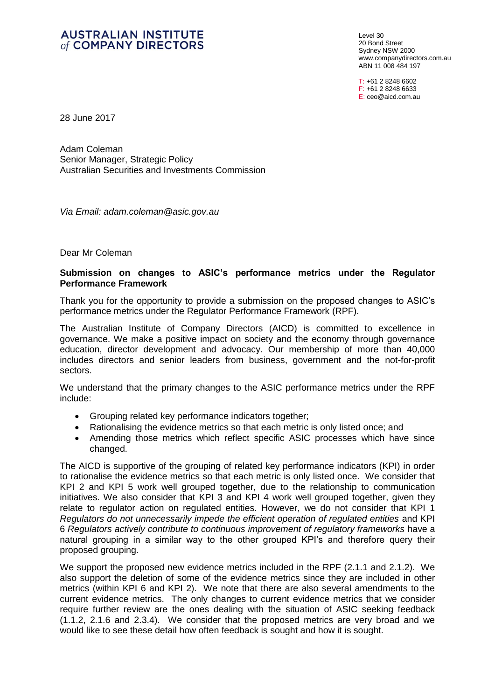## **AUSTRALIAN INSTITUTE** of COMPANY DIRECTORS

Level 30 20 Bond Street Sydney NSW 2000 [www.companydirectors.com.au](http://www.companydirectors.com.au/) ABN 11 008 484 197

T: +61 2 8248 6602 F: +61 2 8248 6633 E: [ceo@aicd.com.au](mailto:ceo@aicd.com.au)

28 June 2017

Adam Coleman Senior Manager, Strategic Policy Australian Securities and Investments Commission

*Via Email: adam.coleman@asic.gov.au*

Dear Mr Coleman

## **Submission on changes to ASIC's performance metrics under the Regulator Performance Framework**

Thank you for the opportunity to provide a submission on the proposed changes to ASIC's performance metrics under the Regulator Performance Framework (RPF).

The Australian Institute of Company Directors (AICD) is committed to excellence in governance. We make a positive impact on society and the economy through governance education, director development and advocacy. Our membership of more than 40,000 includes directors and senior leaders from business, government and the not-for-profit sectors.

We understand that the primary changes to the ASIC performance metrics under the RPF include:

- Grouping related key performance indicators together;
- Rationalising the evidence metrics so that each metric is only listed once; and
- Amending those metrics which reflect specific ASIC processes which have since changed.

The AICD is supportive of the grouping of related key performance indicators (KPI) in order to rationalise the evidence metrics so that each metric is only listed once. We consider that KPI 2 and KPI 5 work well grouped together, due to the relationship to communication initiatives. We also consider that KPI 3 and KPI 4 work well grouped together, given they relate to regulator action on regulated entities. However, we do not consider that KPI 1 *Regulators do not unnecessarily impede the efficient operation of regulated entities* and KPI 6 *Regulators actively contribute to continuous improvement of regulatory frameworks* have a natural grouping in a similar way to the other grouped KPI's and therefore query their proposed grouping.

We support the proposed new evidence metrics included in the RPF (2.1.1 and 2.1.2). We also support the deletion of some of the evidence metrics since they are included in other metrics (within KPI 6 and KPI 2). We note that there are also several amendments to the current evidence metrics. The only changes to current evidence metrics that we consider require further review are the ones dealing with the situation of ASIC seeking feedback (1.1.2, 2.1.6 and 2.3.4). We consider that the proposed metrics are very broad and we would like to see these detail how often feedback is sought and how it is sought.